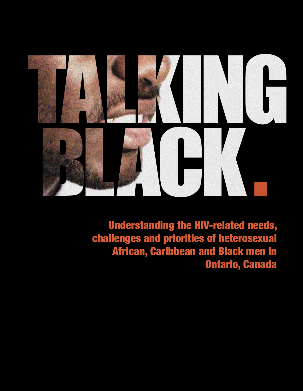

Understanding the HIV-related needs, challenges and priorities of heterosexual African, Caribbean and Black men in Ontario, Canada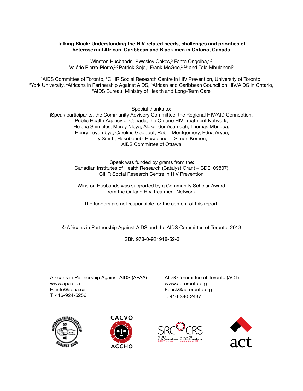#### **Talking Black: Understanding the HIV-related needs, challenges and priorities of heterosexual African, Caribbean and Black men in Ontario, Canada**

Winston Husbands,1,2 Wesley Oakes,<sup>3</sup> Fanta Ongoiba,<sup>4,5</sup> Valérie Pierre-Pierre,<sup>2,5</sup> Patrick Soje,<sup>4</sup> Frank McGee,<sup>2,5,6</sup> and Tola Mbulaheni<sup>5</sup>

<sup>1</sup>AIDS Committee of Toronto, <sup>2</sup>CIHR Social Research Centre in HIV Prevention, University of Toronto, 3 York University, 4 Africans in Partnership Against AIDS, 5 African and Caribbean Council on HIV/AIDS in Ontario, 6 AIDS Bureau, Ministry of Health and Long-Term Care

Special thanks to:

iSpeak participants, the Community Advisory Committee, the Regional HIV/AID Connection, Public Health Agency of Canada, the Ontario HIV Treatment Network, Helena Shimeles, Mercy Nleya, Alexander Asamoah, Thomas Mbugua, Henry Luyombya, Caroline Godbout, Robin Montgomery, Edna Aryee, Ty Smith, Hasebenebi Hasebenebi, Simon Komon, AIDS Committee of Ottawa

> iSpeak was funded by grants from the: Canadian Institutes of Health Research (Catalyst Grant – CDE109807) CIHR Social Research Centre in HIV Prevention

Winston Husbands was supported by a Community Scholar Award from the Ontario HIV Treatment Network.

The funders are not responsible for the content of this report.

© Africans in Partnership Against AIDS and the AIDS Committee of Toronto, 2013

ISBN 978-0-921918-52-3

Africans in Partnership Against AIDS (APAA) www.apaa.ca E: info@apaa.ca T: 416-924-5256

AIDS Committee of Toronto (ACT) www.actoronto.org E: ask@actoronto.org T: 416-340-2437







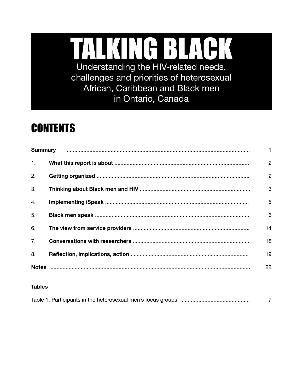TALKING BLACK

Understanding the HIV-related needs, challenges and priorities of heterosexual African, Caribbean and Black men in Ontario, Canada

## **CONTENTS**

|    | $\mathbf{1}$    |
|----|-----------------|
| 1. | $\overline{2}$  |
| 2. | $\overline{2}$  |
| 3. | 3               |
| 4. | 5               |
| 5. | $6\phantom{1}6$ |
| 6. | 14              |
| 7. | 18              |
| 8. | 19              |
|    | 22              |
|    |                 |

### **Tables**

|--|--|--|--|--|--|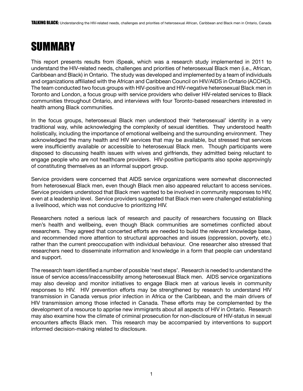## **SUMMARY**

This report presents results from iSpeak, which was a research study implemented in 2011 to understand the HIV-related needs, challenges and priorities of heterosexual Black men (i.e., African, Caribbean and Black) in Ontario. The study was developed and implemented by a team of individuals and organizations affiliated with the African and Caribbean Council on HIV/AIDS in Ontario (ACCHO). The team conducted two focus groups with HIV-positive and HIV-negative heterosexual Black men in Toronto and London, a focus group with service providers who deliver HIV-related services to Black communities throughout Ontario, and interviews with four Toronto-based researchers interested in health among Black communities.

In the focus groups, heterosexual Black men understood their 'heterosexual' identity in a very traditional way, while acknowledging the complexity of sexual identities. They understood health holistically, including the importance of emotional wellbeing and the surrounding environment. They acknowledged the many health and HIV services that may be available, but stressed that services were insufficiently available or accessible to heterosexual Black men. Though participants were disposed to discussing health issues with wives and girlfriends, they admitted being reluctant to engage people who are not healthcare providers. HIV-positive participants also spoke approvingly of constituting themselves as an informal support group.

Service providers were concerned that AIDS service organizations were somewhat disconnected from heterosexual Black men, even though Black men also appeared reluctant to access services. Service providers understood that Black men wanted to be involved in community responses to HIV, even at a leadership level. Service providers suggested that Black men were challenged establishing a livelihood, which was not conducive to prioritizing HIV.

Researchers noted a serious lack of research and paucity of researchers focussing on Black men's health and wellbeing, even though Black communities are sometimes conflicted about researchers. They agreed that concerted efforts are needed to build the relevant knowledge base, and recommended more attention to structural approaches and issues (oppression, poverty, etc.) rather than the current preoccupation with individual behaviour. One researcher also stressed that researchers need to disseminate information and knowledge in a form that people can understand and support.

The research team identified a number of possible 'next steps'. Research is needed to understand the issue of service access/inaccessibility among heterosexual Black men. AIDS service organizations may also develop and monitor initiatives to engage Black men at various levels in community responses to HIV. HIV prevention efforts may be strengthened by research to understand HIV transmission in Canada versus prior infection in Africa or the Caribbean, and the main drivers of HIV transmission among those infected in Canada. These efforts may be complemented by the development of a resource to apprise new immigrants about all aspects of HIV in Ontario. Research may also examine how the climate of criminal prosecution for non-disclosure of HIV-status in sexual encounters affects Black men. This research may be accompanied by interventions to support informed decision-making related to disclosure.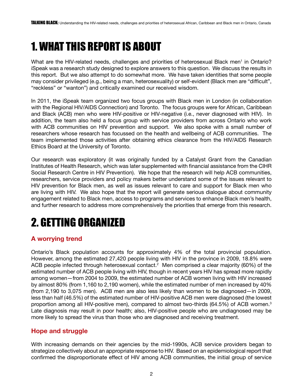## 1. WHAT THIS REPORT IS ABOUT

What are the HIV-related needs, challenges and priorities of heterosexual Black men<sup>1</sup> in Ontario? iSpeak was a research study designed to explore answers to this question. We discuss the results in this report. But we also attempt to do somewhat more. We have taken identities that some people may consider privileged (e.g., being a man, heterosexuality) or self-evident (Black men are "difficult", "reckless" or "wanton") and critically examined our received wisdom.

In 2011, the iSpeak team organized two focus groups with Black men in London (in collaboration with the Regional HIV/AIDS Connection) and Toronto. The focus groups were for African, Caribbean and Black (ACB) men who were HIV-positive or HIV-negative (i.e., never diagnosed with HIV). In addition, the team also held a focus group with service providers from across Ontario who work with ACB communities on HIV prevention and support. We also spoke with a small number of researchers whose research has focussed on the health and wellbeing of ACB communities. The team implemented those activities after obtaining ethics clearance from the HIV/AIDS Research Ethics Board at the University of Toronto.

Our research was exploratory (it was originally funded by a Catalyst Grant from the Canadian Institutes of Health Research, which was later supplemented with financial assistance from the CIHR Social Research Centre in HIV Prevention). We hope that the research will help ACB communities, researchers, service providers and policy makers better understand some of the issues relevant to HIV prevention for Black men, as well as issues relevant to care and support for Black men who are living with HIV. We also hope that the report will generate serious dialogue about community engagement related to Black men, access to programs and services to enhance Black men's health, and further research to address more comprehensively the priorities that emerge from this research.

## 2. GETTING ORGANIZED

## **A worrying trend**

Ontario's Black population accounts for approximately 4% of the total provincial population. However, among the estimated 27,420 people living with HIV in the province in 2009, 18.8% were ACB people infected through heterosexual contact.2 Men comprised a clear majority (60%) of the estimated number of ACB people living with HIV, though in recent years HIV has spread more rapidly among women—from 2004 to 2009, the estimated number of ACB women living with HIV increased by almost 80% (from 1,160 to 2,190 women), while the estimated number of men increased by 40% (from 2,190 to 3,075 men). ACB men are also less likely than women to be diagnosed—in 2009, less than half (46.5%) of the estimated number of HIV-positive ACB men were diagnosed (the lowest proportion among all HIV-positive men), compared to almost two-thirds (64.5%) of ACB women.<sup>3</sup> Late diagnosis may result in poor health; also, HIV-positive people who are undiagnosed may be more likely to spread the virus than those who are diagnosed and receiving treatment.

## **Hope and struggle**

With increasing demands on their agencies by the mid-1990s, ACB service providers began to strategize collectively about an appropriate response to HIV. Based on an epidemiological report that confirmed the disproportionate effect of HIV among ACB communities, the initial group of service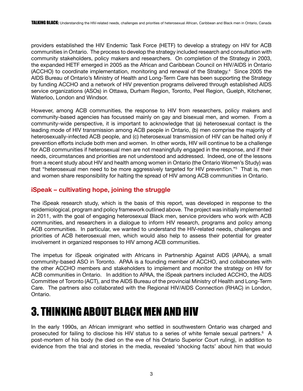providers established the HIV Endemic Task Force (HETF) to develop a strategy on HIV for ACB communities in Ontario. The process to develop the strategy included research and consultation with community stakeholders, policy makers and researchers. On completion of the Strategy in 2003, the expanded HETF emerged in 2005 as the African and Caribbean Council on HIV/AIDS in Ontario (ACCHO) to coordinate implementation, monitoring and renewal of the Strategy.<sup>4</sup> Since 2005 the AIDS Bureau of Ontario's Ministry of Health and Long-Term Care has been supporting the Strategy by funding ACCHO and a network of HIV prevention programs delivered through established AIDS service organizations (ASOs) in Ottawa, Durham Region, Toronto, Peel Region, Guelph, Kitchener, Waterloo, London and Windsor.

However, among ACB communities, the response to HIV from researchers, policy makers and community-based agencies has focussed mainly on gay and bisexual men, and women. From a community-wide perspective, it is important to acknowledge that (a) heterosexual contact is the leading mode of HIV transmission among ACB people in Ontario, (b) men comprise the majority of heterosexually-infected ACB people, and (c) heterosexual transmission of HIV can be halted only if prevention efforts include both men and women. In other words, HIV will continue to be a challenge for ACB communities if heterosexual men are not meaningfully engaged in the response, and if their needs, circumstances and priorities are not understood and addressed. Indeed, one of the lessons from a recent study about HIV and health among women in Ontario (the Ontario Women's Study) was that "heterosexual men need to be more aggressively targeted for HIV prevention."<sup>5</sup> That is, men and women share responsibility for halting the spread of HIV among ACB communities in Ontario.

### **iSpeak – cultivating hope, joining the struggle**

The iSpeak research study, which is the basis of this report, was developed in response to the epidemiological, program and policy framework outlined above. The project was initially implemented in 2011, with the goal of engaging heterosexual Black men, service providers who work with ACB communities, and researchers in a dialogue to inform HIV research, programs and policy among ACB communities. In particular, we wanted to understand the HIV-related needs, challenges and priorities of ACB heterosexual men, which would also help to assess their potential for greater involvement in organized responses to HIV among ACB communities.

The impetus for iSpeak originated with Africans in Partnership Against AIDS (APAA), a small community-based ASO in Toronto. APAA is a founding member of ACCHO, and collaborates with the other ACCHO members and stakeholders to implement and monitor the strategy on HIV for ACB communities in Ontario. In addition to APAA, the iSpeak partners included ACCHO, the AIDS Committee of Toronto (ACT), and the AIDS Bureau of the provincial Ministry of Health and Long-Term Care. The partners also collaborated with the Regional HIV/AIDS Connection (RHAC) in London, Ontario.

## 3. THINKING ABOUT BLACK MEN AND HIV

In the early 1990s, an African immigrant who settled in southwestern Ontario was charged and prosecuted for failing to disclose his HIV status to a series of white female sexual partners.<sup>6</sup> A post-mortem of his body (he died on the eve of his Ontario Superior Court ruling), in addition to evidence from the trial and stories in the media, revealed 'shocking facts' about him that would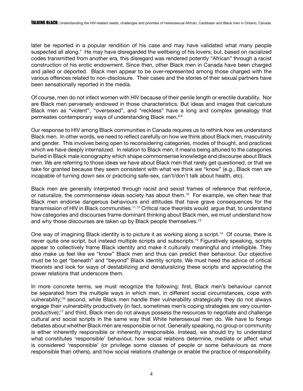later be reported in a popular rendition of his case and may have validated what many people suspected all along.<sup>7</sup> He may have disregarded the wellbeing of his lovers; but, based on racialized codes transmitted from another era, this disregard was rendered potently "African" through a racist construction of his erotic endowment. Since then, other Black men in Canada have been charged and jailed or deported. Black men appear to be over-represented among those charged with the various offences related to non-disclosure. Their cases and the stories of their sexual partners have been sensationally reported in the media.

Of course, men do not infect women with HIV because of their penile length or erectile durability. Nor are Black men perversely endowed in those characteristics. But ideas and images that caricature Black men as "violent", "oversexed", and "reckless" have a long and complex genealogy that permeates contemporary ways of understanding Black men.<sup>8,9</sup>

Our response to HIV among Black communities in Canada requires us to rethink how we understand Black men. In other words, we need to reflect carefully on how we think about Black men, masculinity and gender. This involves being open to reconsidering categories, modes of thought, and practices which we have deeply internalized. In relation to Black men, it means being attuned to the categories buried in Black male iconography which shape commonsense knowledge and discourse about Black men. We are referring to those ideas we have about Black men that rarely get questioned, or that we take for granted because they seem consistent with what we think we "know" (e.g., Black men are incapable of turning down sex or practicing safe-sex, can't/don't talk about health, etc).

Black men are generally interpreted through racist and sexist frames of reference that reinforce, or naturalize, the commonsense ideas society has about them.<sup>10</sup> For example, we often hear that Black men endorse dangerous behaviours and attitudes that have grave consequences for the transmission of HIV in Black communities.<sup>11,12</sup> Critical race theorists would argue that, to understand how categories and discourses frame dominant thinking about Black men, we must understand how and why those discourses are taken up by Black people themselves.<sup>13</sup>

One way of imagining Black identity is to picture it as working along a script.<sup>14</sup> Of course, there is never quite one script, but instead multiple scripts and subscripts.15 Figuratively speaking, scripts appear to collectively frame Black identity and make it culturally meaningful and intelligible. They also make us feel like we "know" Black men and thus can predict their behaviour. Our objective must be to get "beneath" and "beyond" Black identity scripts. We must heed the advice of critical theorists and look for ways of destabilizing and denaturalizing these scripts and appreciating the power relations that underscore them.

In more concrete terms, we must recognize the following: first, Black men's behaviour cannot be separated from the multiple ways in which men, in different social circumstances, cope with vulnerability;16 second, while Black men handle their vulnerability strategically they do not always engage their vulnerability productively (in fact, sometimes men's coping strategies are very counterproductive);<sup>17</sup> and third, Black men do not always possess the resources to negotiate and challenge cultural and social scripts in the same way that White heterosexual men do. We have to forego debates about whether Black men are responsible or not. Generally speaking, no group or community is either inherently responsible or inherently irresponsible. Instead, we should try to understand what constitutes 'responsible' behaviour, how social relations determine, mediate or affect what is considered 'responsible' (or privilege some classes of people or some behaviours as more responsible than others), and how social relations challenge or enable the practice of responsibility.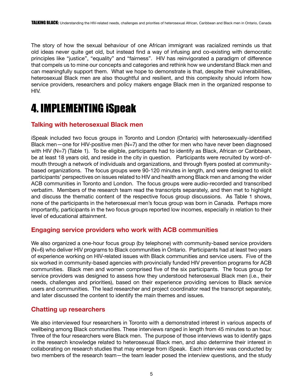The story of how the sexual behaviour of one African immigrant was racialized reminds us that old ideas never quite get old, but instead find a way of infusing and co-existing with democratic principles like "justice", "equality" and "fairness". HIV has reinvigorated a paradigm of difference that compels us to mine our concepts and categories and rethink how we understand Black men and can meaningfully support them. What we hope to demonstrate is that, despite their vulnerabilities, heterosexual Black men are also thoughtful and resilient, and this complexity should inform how service providers, researchers and policy makers engage Black men in the organized response to HIV.

## 4. IMPLEMENTING iSpeak

### **Talking with heterosexual Black men**

iSpeak included two focus groups in Toronto and London (Ontario) with heterosexually-identified Black men—one for HIV-positive men (N=7) and the other for men who have never been diagnosed with HIV (N=7) (Table 1). To be eligible, participants had to identify as Black, African or Caribbean, be at least 18 years old, and reside in the city in question. Participants were recruited by word-ofmouth through a network of individuals and organizations, and through flyers posted at communitybased organizations. The focus groups were 90-120 minutes in length, and were designed to elicit participants' perspectives on issues related to HIV and health among Black men and among the wider ACB communities in Toronto and London. The focus groups were audio-recorded and transcribed verbatim. Members of the research team read the transcripts separately, and then met to highlight and discuss the thematic content of the respective focus group discussions. As Table 1 shows, none of the participants in the heterosexual men's focus group was born in Canada. Perhaps more importantly, participants in the two focus groups reported low incomes, especially in relation to their level of educational attainment.

### **Engaging service providers who work with ACB communities**

We also organized a one-hour focus group (by telephone) with community-based service providers (N=6) who deliver HIV programs to Black communities in Ontario. Participants had at least two years of experience working on HIV-related issues with Black communities and service users. Five of the six worked in community-based agencies with provincially funded HIV prevention programs for ACB communities. Black men and women comprised five of the six participants. The focus group for service providers was designed to assess how they understood heterosexual Black men (i.e., their needs, challenges and priorities), based on their experience providing services to Black service users and communities. The lead researcher and project coordinator read the transcript separately, and later discussed the content to identify the main themes and issues.

### **Chatting up researchers**

We also interviewed four researchers in Toronto with a demonstrated interest in various aspects of wellbeing among Black communities. These interviews ranged in length from 45 minutes to an hour. Three of the four researchers were Black men. The purpose of those interviews was to identify gaps in the research knowledge related to heterosexual Black men, and also determine their interest in collaborating on research studies that may emerge from iSpeak. Each interview was conducted by two members of the research team—the team leader posed the interview questions, and the study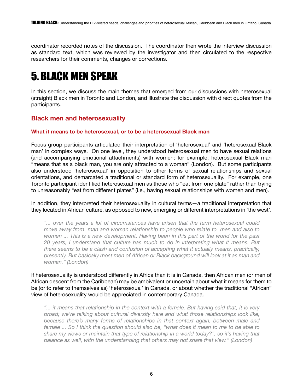coordinator recorded notes of the discussion. The coordinator then wrote the interview discussion as standard text, which was reviewed by the investigator and then circulated to the respective researchers for their comments, changes or corrections.

## 5. BLACK MEN SPEAK

In this section, we discuss the main themes that emerged from our discussions with heterosexual (straight) Black men in Toronto and London, and illustrate the discussion with direct quotes from the participants.

### **Black men and heterosexuality**

#### **What it means to be heterosexual, or to be a heterosexual Black man**

Focus group participants articulated their interpretation of 'heterosexual' and 'heterosexual Black man' in complex ways. On one level, they understood heterosexual men to have sexual relations (and accompanying emotional attachments) with women; for example, heterosexual Black man "means that as a black man, you are only attracted to a woman" (London). But some participants also understood 'heterosexual' in opposition to other forms of sexual relationships and sexual orientations, and demarcated a traditional or standard form of heterosexuality. For example, one Toronto participant identified heterosexual men as those who "eat from one plate" rather than trying to unreasonably "eat from different plates" (i.e., having sexual relationships with women and men).

In addition, they interpreted their heterosexuality in cultural terms—a traditional interpretation that they located in African culture, as opposed to new, emerging or different interpretations in 'the west'.

*"... over the years a lot of circumstances have arisen that the term heterosexual could move away from man and woman relationship to people who relate to men and also to women ... This is a new development. Having been in this part of the world for the past 20 years, I understand that culture has much to do in interpreting what it means. But there seems to be a clash and confusion of accepting what it actually means, practically, presently. But basically most men of African or Black background will look at it as man and woman." (London)*

If heterosexuality is understood differently in Africa than it is in Canada, then African men (or men of African descent from the Caribbean) may be ambivalent or uncertain about what it means for them to be (or to refer to themselves as) 'heterosexual' in Canada, or about whether the traditional "African" view of heterosexuality would be appreciated in contemporary Canada.

*"... it means that relationship in the context with a female. But having said that, it is very broad; we're talking about cultural diversity here and what those relationships look like,*  because there's many forms of relationships in that context again, between male and *female ... So I think the question should also be, "what does it mean to me to be able to share my views or maintain that type of relationship in a world today?", so it's having that balance as well, with the understanding that others may not share that view." (London)*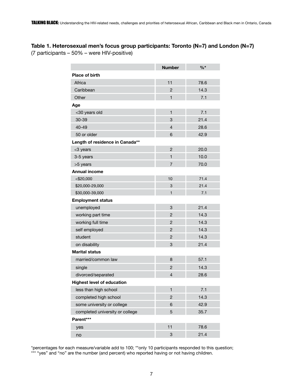## **Table 1. Heterosexual men's focus group participants: Toronto (N=7) and London (N=7)**

(7 participants – 50% – were HIV-positive)

|                                   | <b>Number</b>  | $\%*$ |  |  |  |  |  |
|-----------------------------------|----------------|-------|--|--|--|--|--|
| Place of birth                    |                |       |  |  |  |  |  |
| Africa                            | 11             | 78.6  |  |  |  |  |  |
| Caribbean                         | $\overline{2}$ | 14.3  |  |  |  |  |  |
| Other                             | 1              | 7.1   |  |  |  |  |  |
| Age                               |                |       |  |  |  |  |  |
| <30 years old                     | $\mathbf{1}$   | 7.1   |  |  |  |  |  |
| 30-39                             | 3              | 21.4  |  |  |  |  |  |
| $40 - 49$                         | $\overline{4}$ | 28.6  |  |  |  |  |  |
| 50 or older                       | 6              | 42.9  |  |  |  |  |  |
| Length of residence in Canada**   |                |       |  |  |  |  |  |
| <3 years                          | $\overline{c}$ | 20.0  |  |  |  |  |  |
| 3-5 years                         | 1              | 10.0  |  |  |  |  |  |
| >5 years                          | $\overline{7}$ | 70.0  |  |  |  |  |  |
| <b>Annual income</b>              |                |       |  |  |  |  |  |
| $<$ \$20,000                      | 10             | 71.4  |  |  |  |  |  |
| \$20,000-29,000                   | 3              | 21.4  |  |  |  |  |  |
| \$30,000-39,000                   | $\mathbf{1}$   | 7.1   |  |  |  |  |  |
| <b>Employment status</b>          |                |       |  |  |  |  |  |
| unemployed                        | 3              | 21.4  |  |  |  |  |  |
| working part time                 | $\overline{2}$ | 14.3  |  |  |  |  |  |
| working full time                 | 2              | 14.3  |  |  |  |  |  |
| self employed                     | $\overline{2}$ | 14.3  |  |  |  |  |  |
| student                           | $\overline{2}$ | 14.3  |  |  |  |  |  |
| on disability                     | 3              | 21.4  |  |  |  |  |  |
| <b>Marital status</b>             |                |       |  |  |  |  |  |
| married/common law                | 8              | 57.1  |  |  |  |  |  |
| single                            | $\overline{2}$ | 14.3  |  |  |  |  |  |
| divorced/separated                | $\overline{4}$ | 28.6  |  |  |  |  |  |
| <b>Highest level of education</b> |                |       |  |  |  |  |  |
| less than high school             | $\mathbf{1}$   | 7.1   |  |  |  |  |  |
| completed high school             | $\overline{c}$ | 14.3  |  |  |  |  |  |
| some university or college        | 6              | 42.9  |  |  |  |  |  |
| completed university or college   | 5              | 35.7  |  |  |  |  |  |
| Parent***                         |                |       |  |  |  |  |  |
| yes                               | 11             | 78.6  |  |  |  |  |  |
| no                                | 3              | 21.4  |  |  |  |  |  |

\*percentages for each measure/variable add to 100; \*\*only 10 participants responded to this question; \*\*\* "yes" and "no" are the number (and percent) who reported having or not having children.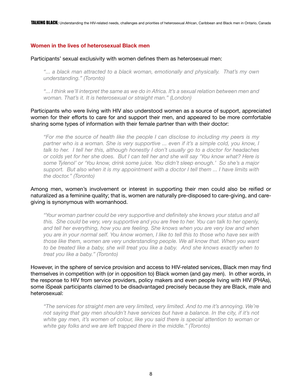TALKING BLACK: Understanding the HIV-related needs, challenges and priorities of heterosexual African, Caribbean and Black men in Ontario, Canada

#### **Women in the lives of heterosexual Black men**

Participants' sexual exclusivity with women defines them as heterosexual men:

*"... a black man attracted to a black woman, emotionally and physically. That's my own understanding." (Toronto)*

*"... I think we'll interpret the same as we do in Africa. It's a sexual relation between men and woman. That's it. It is heterosexual or straight man." (London)*

Participants who were living with HIV also understood women as a source of support, appreciated women for their efforts to care for and support their men, and appeared to be more comfortable sharing some types of information with their female partner than with their doctor:

*"For me the source of health like the people I can disclose to including my peers is my*  partner who is a woman. She is very supportive ... even if it's a simple cold, you know, I *talk to her. I tell her this, although honestly I don't usually go to a doctor for headaches or colds yet for her she does. But I can tell her and she will say 'You know what? Here is some Tylenol' or 'You know, drink some juice. You didn't sleep enough.' So she's a major support. But also when it is my appointment with a doctor I tell them ... I have limits with the doctor." (Toronto)*

Among men, women's involvement or interest in supporting their men could also be reified or naturalized as a feminine quality; that is, women are naturally pre-disposed to care-giving, and caregiving is synonymous with womanhood.

*"Your woman partner could be very supportive and definitely she knows your status and all this. She could be very, very supportive and you are free to her. You can talk to her openly,*  and tell her everything, how you are feeling. She knows when you are very low and when *you are in your normal self. You know women, I like to tell this to those who have sex with*  those like them, women are very understanding people. We all know that. When you want *to be treated like a baby, she will treat you like a baby. And she knows exactly when to treat you like a baby." (Toronto)*

However, in the sphere of service provision and access to HIV-related services, Black men may find themselves in competition with (or in opposition to) Black women (and gay men). In other words, in the response to HIV from service providers, policy makers and even people living with HIV (PHAs), some iSpeak participants claimed to be disadvantaged precisely because they are Black, male and heterosexual:

*"The services for straight men are very limited, very limited. And to me it's annoying. We're not saying that gay men shouldn't have services but have a balance. In the city, if it's not white gay men, it's women of colour, like you said there is special attention to woman or white gay folks and we are left trapped there in the middle." (Toronto)*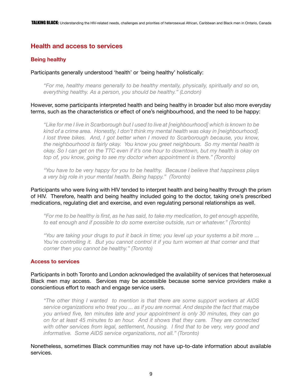### **Health and access to services**

#### **Being healthy**

Participants generally understood 'health' or 'being healthy' holistically:

*"For me, healthy means generally to be healthy mentally, physically, spiritually and so on, everything healthy. As a person, you should be healthy." (London)*

#### However, some participants interpreted health and being healthy in broader but also more everyday terms, such as the characteristics or effect of one's neighbourhood, and the need to be happy:

*"Like for me I live in Scarborough but I used to live at [neighbourhood] which is known to be kind of a crime area. Honestly, I don't think my mental health was okay in [neighbourhood]. I lost three bikes. And, I got better when I moved to Scarborough because, you know, the neighbourhood is fairly okay. You know you greet neighbours. So my mental health is okay. So I can get on the TTC even if it's one hour to downtown, but my health is okay on top of, you know, going to see my doctor when appointment is there." (Toronto)*

*"You have to be very happy for you to be healthy. Because I believe that happiness plays a very big role in your mental health. Being happy." (Toronto)*

Participants who were living with HIV tended to interpret health and being healthy through the prism of HIV. Therefore, health and being healthy included going to the doctor, taking one's prescribed medications, regulating diet and exercise, and even regulating personal relationships as well.

*"For me to be healthy is first, as he has said, to take my medication, to get enough appetite, to eat enough and if possible to do some exercise outside, run or whatever." (Toronto)*

*"You are taking your drugs to put it back in time; you level up your systems a bit more ... You're controlling it. But you cannot control it if you turn women at that corner and that corner then you cannot be healthy." (Toronto)*

#### **Access to services**

Participants in both Toronto and London acknowledged the availability of services that heterosexual Black men may access. Services may be accessible because some service providers make a conscientious effort to reach and engage service users.

*"The other thing I wanted to mention is that there are some support workers at AIDS service organizations who treat you ... as if you are normal. And despite the fact that maybe you arrived five, ten minutes late and your appointment is only 30 minutes, they can go on for at least 45 minutes to an hour. And it shows that they care. They are connected with other services from legal, settlement, housing. I find that to be very, very good and informative. Some AIDS service organizations, not all." (Toronto)*

Nonetheless, sometimes Black communities may not have up-to-date information about available services.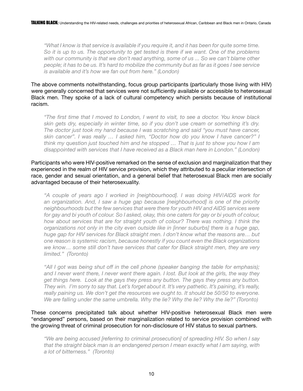*"What I know is that service is available if you require it, and it has been for quite some time. So it is up to us. The opportunity to get tested is there if we want. One of the problems with our community is that we don't read anything, some of us ... So we can't blame other people; it has to be us. It's hard to mobilize the community but as far as it goes I see service is available and it's how we fan out from here." (London)*

The above comments notwithstanding, focus group participants (particularly those living with HIV) were generally concerned that services were not sufficiently available or accessible to heterosexual Black men. They spoke of a lack of cultural competency which persists because of institutional racism.

*"The first time that I moved to London, I went to visit, to see a doctor. You know black skin gets dry, especially in winter time, so if you don't use cream or something it's dry. The doctor just took my hand because I was scratching and said "you must have cancer, skin cancer". I was really … I asked him, "Doctor how do you know I have cancer?" I think my question just touched him and he stopped … That is just to show you how I am disappointed with services that I have received as a Black man here in London." (London)*

Participants who were HIV-positive remarked on the sense of exclusion and marginalization that they experienced in the realm of HIV service provision, which they attributed to a peculiar intersection of race, gender and sexual orientation, and a general belief that heterosexual Black men are socially advantaged because of their heterosexuality.

*"A couple of years ago I worked in [neighbourhood]. I was doing HIV/AIDS work for an organization. And, I saw a huge gap because [neighbourhood] is one of the priority neighbourhoods but the few services that were there for youth HIV and AIDS services were for gay and bi youth of colour. So I asked, okay, this one caters for gay or bi youth of colour, how about services that are for straight youth of colour? There was nothing. I think the organizations not only in the city even outside like in [inner suburbs] there is a huge gap, huge gap for HIV services for Black straight men. I don't know what the reasons are… but one reason is systemic racism, because honestly if you count even the Black organizations we know… some still don't have services that cater for Black straight men, they are very limited." (Toronto)*

*"All I got was being shut off in the cell phone (speaker banging the table for emphasis); and I never went there, I never went there again. I lost. But look at the girls, the way they get things here. Look at the gays they press any button. The gays they press any button. They win. I'm sorry to say that. Let's forget about it. It's very pathetic. It's paining, it's really,*  really paining us. We don't get the resources we ought to. It should be 50/50 to everyone. *We are falling under the same umbrella. Why the lie? Why the lie? Why the lie?" (Toronto)*

These concerns precipitated talk about whether HIV-positive heterosexual Black men were "endangered" persons, based on their marginalization related to service provision combined with the growing threat of criminal prosecution for non-disclosure of HIV status to sexual partners.

*"We are being accused [referring to criminal prosecution] of spreading HIV. So when I say that the straight black man is an endangered person I mean exactly what I am saying, with a lot of bitterness." (Toronto)*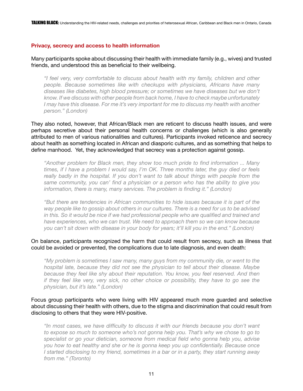#### **Privacy, secrecy and access to health information**

#### Many participants spoke about discussing their health with immediate family (e.g., wives) and trusted friends, and understood this as beneficial to their wellbeing.

*"I feel very, very comfortable to discuss about health with my family, children and other people. Because sometimes like with checkups with physicians, Africans have many diseases like diabetes, high blood pressure; or sometimes we have diseases but we don't know. If we discuss with other people from back home, I have to check maybe unfortunately I may have this disease. For me it's very important for me to discuss my health with another person." (London)*

They also noted, however, that African/Black men are reticent to discuss health issues, and were perhaps secretive about their personal health concerns or challenges (which is also generally attributed to men of various nationalities and cultures). Participants invoked reticence and secrecy about health as something located in African and diasporic cultures, and as something that helps to define manhood. Yet, they acknowledged that secrecy was a protection against gossip.

*"Another problem for Black men, they show too much pride to find information ... Many times, if I have a problem I would say, I'm OK. Three months later, the guy died or feels really badly in the hospital. If you don't want to talk about things with people from the same community, you can' find a physician or a person who has the ability to give you information, there is many, many services. The problem is finding it." (London)*

*"But there are tendencies in African communities to hide issues because it is part of the way people like to gossip about others in our cultures. There is a need for us to be advised*  in this. So it would be nice if we had professional people who are qualified and trained and *have experiences, who we can trust. We need to approach them so we can know because you can't sit down with disease in your body for years; it'll kill you in the end." (London)*

#### On balance, participants recognized the harm that could result from secrecy, such as illness that could be avoided or prevented, the complications due to late diagnosis, and even death:

*"My problem is sometimes I saw many, many guys from my community die, or went to the hospital late, because they did not see the physician to tell about their disease. Maybe because they feel like shy about their reputation. You know, you feel reserved. And then if they feel like very, very sick, no other choice or possibility, they have to go see the physician, but it's late." (London)*

#### Focus group participants who were living with HIV appeared much more guarded and selective about discussing their health with others, due to the stigma and discrimination that could result from disclosing to others that they were HIV-positive.

*"In most cases, we have difficulty to discuss it with our friends because you don't want to expose so much to someone who's not gonna help you. That's why we chose to go to specialist or go your dietician, someone from medical field who gonna help you, advise you how to eat healthy and she or he is gonna keep you up confidentially. Because once I started disclosing to my friend, sometimes in a bar or in a party, they start running away from me." (Toronto)*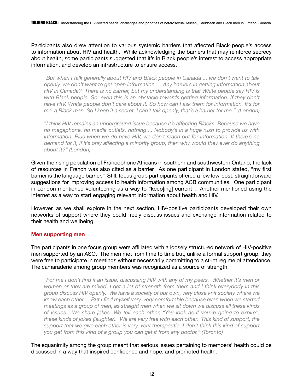Participants also drew attention to various systemic barriers that affected Black people's access to information about HIV and health. While acknowledging the barriers that may reinforce secrecy about health, some participants suggested that it's in Black people's interest to access appropriate information, and develop an infrastructure to ensure access.

*"But when I talk generally about HIV and Black people in Canada ... we don't want to talk openly, we don't want to get open information … Any barriers in getting information about HIV in Canada? There is no barrier, but my understanding is that White people say HIV is*  with Black people. So, even this is an obstacle towards getting information. If they don't *have HIV, White people don't care about it. So how can I ask them for information. It's for me, a Black man. So I keep it a secret, I can't talk openly, that's a barrier for me." (London)*

*"I think HIV remains an underground issue because it's affecting Blacks. Because we have no megaphone, no media outlets, nothing ... Nobody's in a huge rush to provide us with information. Plus when we do have HIV, we don't reach out for information. If there's no demand for it, if it's only affecting a minority group, then why would they ever do anything about it?" (London)*

Given the rising population of Francophone Africans in southern and southwestern Ontario, the lack of resources in French was also cited as a barrier. As one participant in London stated, "my first barrier is the language barrier." Still, focus group participants offered a few low-cost, straightforward suggestions for improving access to health information among ACB communities. One participant in London mentioned volunteering as a way to "keep[ing] current". Another mentioned using the Internet as a way to start engaging relevant information about health and HIV.

However, as we shall explore in the next section, HIV-positive participants developed their own networks of support where they could freely discuss issues and exchange information related to their health and wellbeing.

#### **Men supporting men**

The participants in one focus group were affiliated with a loosely structured network of HIV-positive men supported by an ASO. The men met from time to time but, unlike a formal support group, they were free to participate in meetings without necessarily committing to a strict regime of attendance. The camaraderie among group members was recognized as a source of strength.

*"For me I don't find it an issue, discussing HIV with any of my peers. Whether it's men or women or they are mixed, I get a lot of strength from them and I think everybody in this group discuss HIV openly. We have a society of our own, very close knit society where we know each other ... But I find myself very, very comfortable because even when we started meetings as a group of men, as straight men when we sit down we discuss all these kinds of issues. We share jokes. We tell each other, "You look as if you're going to expire", these kinds of jokes (laughter). We are very free with each other. This kind of support, the support that we give each other is very, very therapeutic. I don't think this kind of support you get from this kind of a group you can get it from any doctor." (Toronto)* 

The equanimity among the group meant that serious issues pertaining to members' health could be discussed in a way that inspired confidence and hope, and promoted health.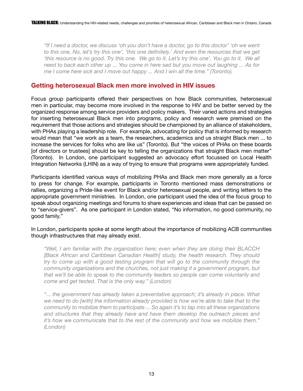*"If I need a doctor, we discuss 'oh you don't have a doctor, go to this doctor' 'oh we went to this one, No, let's try this one', 'this one definitely.' And even the resources that we get 'this resource is no good. Try this one. We go to it. Let's try this one'. You go to it. We all need to back each other up ... You come in here sad but you move out laughing ... As for me I come here sick and I move out happy ... And I win all the time." (Toronto).*

### **Getting heterosexual Black men more involved in HIV issues**

Focus group participants offered their perspectives on how Black communities, heterosexual men in particular, may become more involved in the response to HIV and be better served by the organized response among service providers and policy makers. Their varied actions and strategies for inserting heterosexual Black men into programs, policy and research were premised on the requirement that those actions and strategies should be championed by an alliance of stakeholders, with PHAs playing a leadership role. For example, advocating for policy that is informed by research would mean that "we work as a team, the researchers, academics and us straight Black men ... to increase the services for folks who are like us" (Toronto). But "the voices of PHAs on these boards [of directors or trustees] should be key to telling the organizations that straight Black men matter" (Toronto). In London, one participant suggested an advocacy effort focussed on Local Health Integration Networks (LHIN) as a way of trying to ensure that programs were appropriately funded.

Participants identified various ways of mobilizing PHAs and Black men more generally as a force to press for change. For example, participants in Toronto mentioned mass demonstrations or rallies, organizing a Pride-like event for Black and/or heterosexual people, and writing letters to the appropriate government ministries. In London, one participant used the idea of the focus group to speak about organizing meetings and forums to share experiences and ideas that can be passed on to "service-givers". As one participant in London stated, "No information, no good community, no good family."

In London, participants spoke at some length about the importance of mobilizing ACB communities though infrastructures that may already exist.

*"Well, I am familiar with the organization here; even when they are doing their BLACCH [Black African and Caribbean Canadian Health] study, the health research. They should try to come up with a good testing program that will go to the community through the community organizations and the churches, not just making it a government program, but*  that we'll be able to speak to the community leaders so people can come voluntarily and *come and get tested. That is the only way." (London)*

*"... the government has already taken a preventative approach; it's already in place. What we need to do [with] the information already provided is how we're able to take that to the community to mobilize them to participate ... So again it's to tap into all these organizations and structures that they already have and have them develop the outreach pieces and it's how we communicate that to the rest of the community and how we mobilize them." (London)*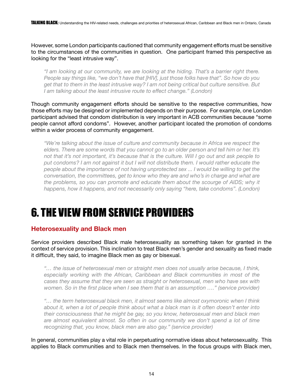However, some London participants cautioned that community engagement efforts must be sensitive to the circumstances of the communities in question. One participant framed this perspective as looking for the "least intrusive way".

*"I am looking at our community, we are looking at the hiding. That's a barrier right there. People say things like, "we don't have that [HIV], just those folks have that". So how do you get that to them in the least intrusive way? I am not being critical but culture sensitive. But I am talking about the least intrusive route to effect change." (London)*

Though community engagement efforts should be sensitive to the respective communities, how those efforts may be designed or implemented depends on their purpose. For example, one London participant advised that condom distribution is very important in ACB communities because "some people cannot afford condoms". However, another participant located the promotion of condoms within a wider process of community engagement.

*"We're talking about the issue of culture and community because in Africa we respect the elders. There are some words that you cannot go to an older person and tell him or her. It's not that it's not important, it's because that is the culture. Will I go out and ask people to put condoms? I am not against it but I will not distribute them. I would rather educate the people about the importance of not having unprotected sex ... I would be willing to get the conversation, the committees, get to know who they are and who's in charge and what are the problems, so you can promote and educate them about the scourge of AIDS; why it happens, how it happens, and not necessarily only saying "here, take condoms". (London)*

## 6. THE VIEW FROM SERVICE PROVIDERS

### **Heterosexuality and Black men**

Service providers described Black male heterosexuality as something taken for granted in the context of service provision. This inclination to treat Black men's gender and sexuality as fixed made it difficult, they said, to imagine Black men as gay or bisexual.

*"… the issue of heterosexual men or straight men does not usually arise because, I think, especially working with the African, Caribbean and Black communities in most of the cases they assume that they are seen as straight or heterosexual, men who have sex with women. So in the first place when I see them that is an assumption …." (service provider)*

*"… the term heterosexual black men, it almost seems like almost oxymoronic when I think about it, when a lot of people think about what a black man is it often doesn't enter into*  their consciousness that he might be gay, so you know, heterosexual men and black men *are almost equivalent almost. So often in our community we don't spend a lot of time recognizing that, you know, black men are also gay." (service provider)*

In general, communities play a vital role in perpetuating normative ideas about heterosexuality. This applies to Black communities and to Black men themselves. In the focus groups with Black men,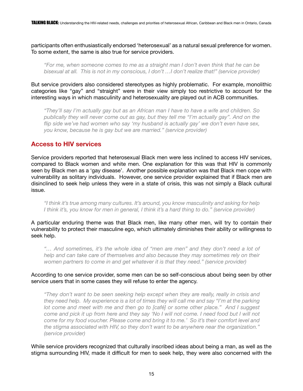participants often enthusiastically endorsed 'heterosexual' as a natural sexual preference for women. To some extent, the same is also true for service providers.

*"For me, when someone comes to me as a straight man I don't even think that he can be bisexual at all. This is not in my conscious, I don't …I don't realize that!" (service provider)* 

But service providers also considered stereotypes as highly problematic. For example, monolithic categories like "gay" and "straight" were in their view simply too restrictive to account for the interesting ways in which masculinity and heterosexuality are played out in ACB communities.

*"They'll say I'm actually gay but as an African man I have to have a wife and children. So publically they will never come out as gay, but they tell me "I'm actually gay". And on the flip side we've had women who say 'my husband is actually gay' we don't even have sex, you know, because he is gay but we are married." (service provider)*

### **Access to HIV services**

Service providers reported that heterosexual Black men were less inclined to access HIV services, compared to Black women and white men. One explanation for this was that HIV is commonly seen by Black men as a 'gay disease'. Another possible explanation was that Black men cope with vulnerability as solitary individuals. However, one service provider explained that if Black men are disinclined to seek help unless they were in a state of crisis, this was not simply a Black cultural issue.

*"I think it's true among many cultures. It's around, you know masculinity and asking for help I think it's, you know for men in general, I think it's a hard thing to do." (service provider)*

A particular enduring theme was that Black men, like many other men, will try to contain their vulnerability to protect their masculine ego, which ultimately diminishes their ability or willingness to seek help.

*"… And sometimes, it's the whole idea of "men are men" and they don't need a lot of help and can take care of themselves and also because they may sometimes rely on their women partners to come in and get whatever it is that they need." (service provider)*

#### According to one service provider, some men can be so self-conscious about being seen by other service users that in some cases they will refuse to enter the agency.

*"They don't want to be seen seeking help except when they are really, really in crisis and they need help. My experience is a lot of times they will call me and say "I'm at the parking lot come and meet with me and then go to [café] or some other place.*" And I suggest *come and pick it up from here and they say 'No I will not come. I need food but I will not come for my food voucher. Please come and bring it to me.' So it's their comfort level and the stigma associated with HIV, so they don't want to be anywhere near the organization." (service provider)*

While service providers recognized that culturally inscribed ideas about being a man, as well as the stigma surrounding HIV, made it difficult for men to seek help, they were also concerned with the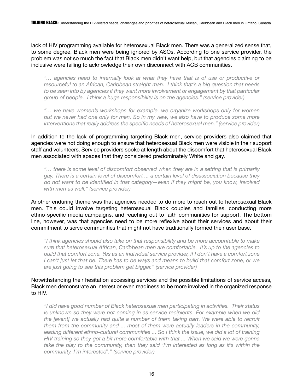lack of HIV programming available for heterosexual Black men. There was a generalized sense that, to some degree, Black men were being ignored by ASOs. According to one service provider, the problem was not so much the fact that Black men didn't want help, but that agencies claiming to be inclusive were failing to acknowledge their own disconnect with ACB communities.

*"… agencies need to internally look at what they have that is of use or productive or resourceful to an African, Caribbean straight man. I think that's a big question that needs*  to be seen into by agencies if they want more involvement or engagement by that particular *group of people. I think a huge responsibility is on the agencies." (service provider)*

*"… we have women's workshops for example, we organize workshops only for women but we never had one only for men. So in my view, we also have to produce some more interventions that really address the specific needs of heterosexual men." (service provider)*

In addition to the lack of programming targeting Black men, service providers also claimed that agencies were not doing enough to ensure that heterosexual Black men were visible in their support staff and volunteers. Service providers spoke at length about the discomfort that heterosexual Black men associated with spaces that they considered predominately White and gay.

*"… there is some level of discomfort observed when they are in a setting that is primarily gay. There is a certain level of discomfort ... a certain level of disassociation because they do not want to be identified in that category—even if they might be, you know, involved with men as well." (service provider)*

Another enduring theme was that agencies needed to do more to reach out to heterosexual Black men. This could involve targeting heterosexual Black couples and families, conducting more ethno-specific media campaigns, and reaching out to faith communities for support. The bottom line, however, was that agencies need to be more reflexive about their services and about their commitment to serve communities that might not have traditionally formed their user base.

*"I think agencies should also take on that responsibility and be more accountable to make sure that heterosexual African, Caribbean men are comfortable. It's up to the agencies to build that comfort zone. Yes as an individual service provider, if I don't have a comfort zone I can't just let that be. There has to be ways and means to build that comfort zone, or we are just going to see this problem get bigger." (service provider)*

Notwithstanding their hesitation accessing services and the possible limitations of service access, Black men demonstrate an interest or even readiness to be more involved in the organized response to HIV.

*"I did have good number of Black heterosexual men participating in activities. Their status is unknown so they were not coming in as service recipients. For example when we did the [event] we actually had quite a number of them taking part. We were able to recruit them from the community and ... most of them were actually leaders in the community, leading different ethno-cultural communities ... So I think the issue, we did a lot of training HIV training so they got a bit more comfortable with that ... When we said we were gonna take the play to the community, then they said 'I'm interested as long as it's within the community. I'm interested'." (service provider)*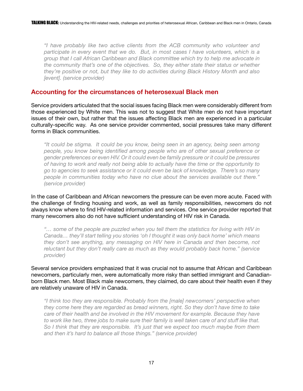*"I have probably like two active clients from the ACB community who volunteer and participate in every event that we do. But, in most cases I have volunteers, which is a group that I call African Caribbean and Black committee which try to help me advocate in the community that's one of the objectives. So, they either state their status or whether they're positive or not, but they like to do activities during Black History Month and also [event]. (service provider)*

### **Accounting for the circumstances of heterosexual Black men**

Service providers articulated that the social issues facing Black men were considerably different from those experienced by White men. This was not to suggest that White men do not have important issues of their own, but rather that the issues affecting Black men are experienced in a particular culturally-specific way. As one service provider commented, social pressures take many different forms in Black communities.

"It could be stigma. It could be you know, being seen in an agency, being seen among *people, you know being identified among people who are of other sexual preference or gender preferences or even HIV. Or it could even be family pressure or it could be pressures of having to work and really not being able to actually have the time or the opportunity to go to agencies to seek assistance or it could even be lack of knowledge. There's so many people in communities today who have no clue about the services available out there." (service provider)*

In the case of Caribbean and African newcomers the pressure can be even more acute. Faced with the challenge of finding housing and work, as well as family responsibilities, newcomers do not always know where to find HIV-related information and services. One service provider reported that many newcomers also do not have sufficient understanding of HIV risk in Canada.

*"… some of the people are puzzled when you tell them the statistics for living with HIV in Canada… they'll start telling you stories 'oh I thought it was only back home' which means they don't see anything, any messaging on HIV here in Canada and then become, not reluctant but they don't really care as much as they would probably back home." (service provider)*

Several service providers emphasized that it was crucial not to assume that African and Caribbean newcomers, particularly men, were automatically more risky than settled immigrant and Canadianborn Black men. Most Black male newcomers, they claimed, do care about their health even if they are relatively unaware of HIV in Canada.

*"I think too they are responsible. Probably from the [male] newcomers' perspective when they come here they are regarded as bread winners, right. So they don't have time to take care of their health and be involved in the HIV movement for example. Because they have to work like two, three jobs to make sure their family is well taken care of and stuff like that. So I think that they are responsible. It's just that we expect too much maybe from them and then it's hard to balance all those things." (service provider)*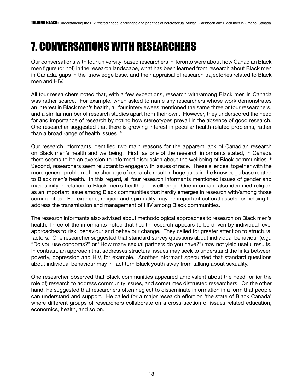## 7. CONVERSATIONS WITH RESEARCHERS

Our conversations with four university-based researchers in Toronto were about how Canadian Black men figure (or not) in the research landscape, what has been learned from research about Black men in Canada, gaps in the knowledge base, and their appraisal of research trajectories related to Black men and HIV.

All four researchers noted that, with a few exceptions, research with/among Black men in Canada was rather scarce. For example, when asked to name any researchers whose work demonstrates an interest in Black men's health, all four interviewees mentioned the same three or four researchers, and a similar number of research studies apart from their own. However, they underscored the need for and importance of research by noting how stereotypes prevail in the absence of good research. One researcher suggested that there is growing interest in peculiar health-related problems, rather than a broad range of health issues.<sup>18</sup>

Our research informants identified two main reasons for the apparent lack of Canadian research on Black men's health and wellbeing. First, as one of the research informants stated, in Canada there seems to be an aversion to informed discussion about the wellbeing of Black communities.<sup>19</sup> Second, researchers seem reluctant to engage with issues of race. These silences, together with the more general problem of the shortage of research, result in huge gaps in the knowledge base related to Black men's health. In this regard, all four research informants mentioned issues of gender and masculinity in relation to Black men's health and wellbeing. One informant also identified religion as an important issue among Black communities that hardly emerges in research with/among those communities. For example, religion and spirituality may be important cultural assets for helping to address the transmission and management of HIV among Black communities.

The research informants also advised about methodological approaches to research on Black men's health. Three of the informants noted that health research appears to be driven by individual level approaches to risk, behaviour and behaviour change. They called for greater attention to structural factors. One researcher suggested that standard survey questions about individual behaviour (e.g., "Do you use condoms?" or "How many sexual partners do you have?") may not yield useful results. In contrast, an approach that addresses structural issues may seek to understand the links between poverty, oppression and HIV, for example. Another informant speculated that standard questions about individual behaviour may in fact turn Black youth away from talking about sexuality.

One researcher observed that Black communities appeared ambivalent about the need for (or the role of) research to address community issues, and sometimes distrusted researchers. On the other hand, he suggested that researchers often neglect to disseminate information in a form that people can understand and support. He called for a major research effort on 'the state of Black Canada' where different groups of researchers collaborate on a cross-section of issues related education, economics, health, and so on.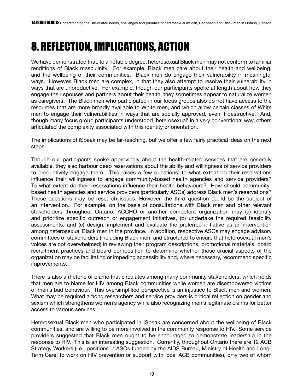## 8. REFLECTION, IMPLICATIONS, ACTION

We have demonstrated that, to a notable degree, heterosexual Black men may not conform to familiar renditions of Black masculinity. For example, Black men care about their health and wellbeing, and the wellbeing of their communities. Black men do engage their vulnerability in meaningful ways. However, Black men are complex, in that they also attempt to resolve their vulnerability in ways that are unproductive. For example, though our participants spoke at length about how they engage their spouses and partners about their health, they sometimes appear to naturalize women as caregivers. The Black men who participated in our focus groups also do not have access to the resources that are more broadly available to White men, and which allow certain classes of White men to engage their vulnerabilities in ways that are socially approved, even if destructive. And, though many focus group participants understood 'heterosexual' in a very conventional way, others articulated the complexity associated with this identity or orientation.

The implications of iSpeak may be far-reaching, but we offer a few fairly practical ideas on the next steps.

Though our participants spoke approvingly about the health-related services that are generally available, they also harbour deep reservations about the ability and willingness of service providers to productively engage them. This raises a few questions: to what extent do their reservations influence their willingness to engage community-based health agencies and service providers? To what extent do their reservations influence their health behaviours? How should communitybased health agencies and service providers (particularly ASOs) address Black men's reservations? These questions may be research issues. However, the third question could be the subject of an intervention. For example, on the basis of consultations with Black men and other relevant stakeholders throughout Ontario, ACCHO or another competent organization may (a) identify and prioritize specific outreach or engagement initiatives, (b) undertake the required feasibility assessments, and (c) design, implement and evaluate the preferred initiative as an intervention among heterosexual Black men in the province. In addition, respective ASOs may engage advisory committees of stakeholders (including Black men, and structured to ensure that heterosexual men's voices are not overwhelmed) in reviewing their program descriptions, promotional materials, board recruitment practices and board composition to determine whether those crucial aspects of the organization may be facilitating or impeding accessibility and, where necessary, recommend specific improvements.

There is also a rhetoric of blame that circulates among many community stakeholders, which holds that men are to blame for HIV among Black communities while women are disempowered victims of men's bad behaviour. This oversimplified perspective is an injustice to Black men and women. What may be required among researchers and service providers is critical reflection on gender and sexism which strengthens women's agency while also recognizing men's legitimate claims for better access to various services.

Heterosexual Black men who participated in iSpeak are concerned about the wellbeing of Black communities, and are willing to be more involved in the community response to HIV. Some service providers suggested that Black men ought to be encouraged to demonstrate leadership in the response to HIV. This is an interesting suggestion. Currently, throughout Ontario there are 12 ACB Strategy Workers (i.e., positions in ASOs funded by the AIDS Bureau, Ministry of Health and Long-Term Care, to work on HIV prevention or support with local ACB communities), only two of whom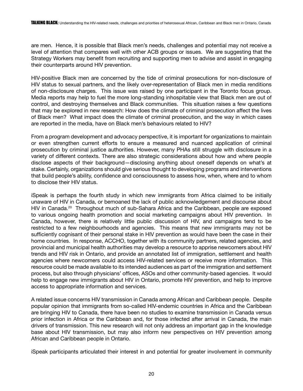are men. Hence, it is possible that Black men's needs, challenges and potential may not receive a level of attention that compares well with other ACB groups or issues. We are suggesting that the Strategy Workers may benefit from recruiting and supporting men to advise and assist in engaging their counterparts around HIV prevention.

HIV-positive Black men are concerned by the tide of criminal prosecutions for non-disclosure of HIV status to sexual partners, and the likely over-representation of Black men in media renditions of non-disclosure charges. This issue was raised by one participant in the Toronto focus group. Media reports may help to fuel the more long-standing inhospitable view that Black men are out of control, and destroying themselves and Black communities. This situation raises a few questions that may be explored in new research: How does the climate of criminal prosecution affect the lives of Black men? What impact does the climate of criminal prosecution, and the way in which cases are reported in the media, have on Black men's behaviours related to HIV?

From a program development and advocacy perspective, it is important for organizations to maintain or even strengthen current efforts to ensure a measured and nuanced application of criminal prosecution by criminal justice authorities. However, many PHAs still struggle with disclosure in a variety of different contexts. There are also strategic considerations about how and where people disclose aspects of their background—disclosing anything about oneself depends on what's at stake. Certainly, organizations should give serious thought to developing programs and interventions that build people's ability, confidence and consciousness to assess how, when, where and to whom to disclose their HIV status.

iSpeak is perhaps the fourth study in which new immigrants from Africa claimed to be initially unaware of HIV in Canada, or bemoaned the lack of public acknowledgement and discourse about HIV in Canada.<sup>20</sup> Throughout much of sub-Sahara Africa and the Caribbean, people are exposed to various ongoing health promotion and social marketing campaigns about HIV prevention. In Canada, however, there is relatively little public discussion of HIV, and campaigns tend to be restricted to a few neighbourhoods and agencies. This means that new immigrants may not be sufficiently cognisant of their personal stake in HIV prevention as would have been the case in their home countries. In response, ACCHO, together with its community partners, related agencies, and provincial and municipal health authorities may develop a resource to apprise newcomers about HIV trends and HIV risk in Ontario, and provide an annotated list of immigration, settlement and health agencies where newcomers could access HIV-related services or receive more information. This resource could be made available to its intended audiences as part of the immigration and settlement process, but also through physicians' offices, ASOs and other community-based agencies. It would help to engage new immigrants about HIV in Ontario, promote HIV prevention, and help to improve access to appropriate information and services.

A related issue concerns HIV transmission in Canada among African and Caribbean people. Despite popular opinion that immigrants from so-called HIV-endemic countries in Africa and the Caribbean are bringing HIV to Canada, there have been no studies to examine transmission in Canada versus prior infection in Africa or the Caribbean and, for those infected after arrival in Canada, the main drivers of transmission. This new research will not only address an important gap in the knowledge base about HIV transmission, but may also inform new perspectives on HIV prevention among African and Caribbean people in Ontario.

iSpeak participants articulated their interest in and potential for greater involvement in community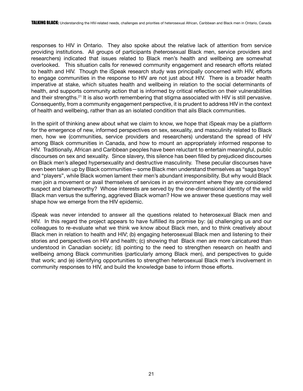responses to HIV in Ontario. They also spoke about the relative lack of attention from service providing institutions. All groups of participants (heterosexual Black men, service providers and researchers) indicated that issues related to Black men's health and wellbeing are somewhat overlooked. This situation calls for renewed community engagement and research efforts related to health and HIV. Though the iSpeak research study was principally concerned with HIV, efforts to engage communities in the response to HIV are not just about HIV. There is a broader health imperative at stake, which situates health and wellbeing in relation to the social determinants of health, and supports community action that is informed by critical reflection on their vulnerabilities and their strengths.<sup>21</sup> It is also worth remembering that stigma associated with HIV is still pervasive. Consequently, from a community engagement perspective, it is prudent to address HIV in the context of health and wellbeing, rather than as an isolated condition that ails Black communities.

In the spirit of thinking anew about what we claim to know, we hope that iSpeak may be a platform for the emergence of new, informed perspectives on sex, sexuality, and masculinity related to Black men, how we (communities, service providers and researchers) understand the spread of HIV among Black communities in Canada, and how to mount an appropriately informed response to HIV. Traditionally, African and Caribbean peoples have been reluctant to entertain meaningful, public discourses on sex and sexuality. Since slavery, this silence has been filled by prejudiced discourses on Black men's alleged hypersexuality and destructive masculinity. These peculiar discourses have even been taken up by Black communities—some Black men understand themselves as "saga boys" and "players", while Black women lament their men's abundant irresponsibility. But why would Black men join a movement or avail themselves of services in an environment where they are considered suspect and blameworthy? Whose interests are served by the one-dimensional identity of the wild Black man versus the suffering, aggrieved Black woman? How we answer these questions may well shape how we emerge from the HIV epidemic.

iSpeak was never intended to answer all the questions related to heterosexual Black men and HIV. In this regard the project appears to have fulfilled its promise by: (a) challenging us and our colleagues to re-evaluate what we think we know about Black men, and to think creatively about Black men in relation to health and HIV; (b) engaging heterosexual Black men and listening to their stories and perspectives on HIV and health; (c) showing that Black men are more caricatured than understood in Canadian society; (d) pointing to the need to strengthen research on health and wellbeing among Black communities (particularly among Black men), and perspectives to guide that work; and (e) identifying opportunities to strengthen heterosexual Black men's involvement in community responses to HIV, and build the knowledge base to inform those efforts.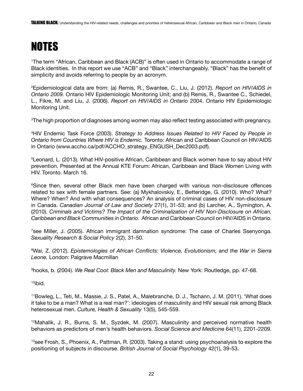# **NOTES**

1 The term "African, Caribbean and Black (ACB)" is often used in Ontario to accommodate a range of Black identities. In this report we use "ACB" and "Black" interchangeably. "Black" has the benefit of simplicity and avoids referring to people by an acronym.

2 Epidemiological data are from: (a) Remis, R., Swantee, C., Liu, J. (2012). *Report on HIV/AIDS in Ontario 2009.* Ontario HIV Epidemiologic Monitoring Unit; and (b) Remis, R., Swantee C., Schiedel, L., Fikre, M. and Liu, J. (2006). *Report on HIV/AIDS in Ontario* 2004. Ontario HIV Epidemiologic Monitoring Unit.

 $^{\rm 3}$ The high proportion of diagnoses among women may also reflect testing associated with pregnancy.

4 HIV Endemic Task Force (2003). *Strategy to Address Issues Related to HIV Faced by People in Ontario from Countries Where HIV is Endemic.* Toronto: African and Caribbean Council on HIV/AIDS in Ontario (www.accho.ca/pdf/ACCHO\_strategy\_ENGLISH\_Dec2003.pdf).

5 Leonard, L. (2013). What HIV-positive African, Caribbean and Black women have to say about HIV prevention. Presented at the Annual KTE Forum: African, Caribbean and Black Women Living with HIV. Toronto. March 16.

6 Since then, several other Black men have been charged with various non-disclosure offences related to sex with female partners. See: (a) Mykhalovskiy, E., Betteridge, G. (2010). Who? What? Where? When? And with what consequences? An analysis of criminal cases of HIV non-disclosure in Canada. *Canadian Journal of Law and Society* 27(1), 31-53; and (b) Larcher, A., Symington, A. (2010). *Criminals and Victims? The Impact of the Criminalization of HIV Non-Disclosure on African, Caribbean and Black Communities in Ontario.* African and Caribbean Council on HIV/AIDS in Ontario.

7 see Miller, J. (2005). African immigrant damnation syndrome: The case of Charles Ssenyonga. *Sexuality Research & Social Policy* 2(2), 31-50.

8 Wai, Z. (2012). *Epistemologies of African Conflicts: Violence, Evolutionism, and the War in Sierra Leone.* London: Palgrave Macmillan

9 hooks, b. (2004). *We Real Cool: Black Men and Masculinity.* New York: Routledge, pp. 47-68.

 $10$ ibid.

11Bowleg, L., Teti, M., Massie, J. S., Patel, A., Malebranche, D. J., Tschann, J. M. (2011). 'What does it take to be a man? What is a real man?': ideologies of masculinity and HIV sexual risk among Black heterosexual men. *Culture, Health & Sexuality* 13(5), 545-559.

 $12$ Mahalik, J. R., Burns, S. M., Syzdek, M. (2007). Masculinity and perceived normative health behaviors as predictors of men's health behaviors. *Social Science and Medicine* 64(11), 2201-2209.

13see Frosh, S., Phoenix, A., Pattman, R. (2003). Taking a stand: using psychoanalysis to explore the positioning of subjects in discourse. *British Journal of Social Psychology* 42(1), 39-53.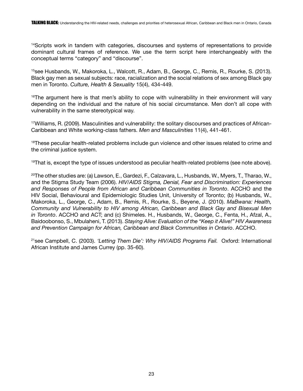<sup>14</sup>Scripts work in tandem with categories, discourses and systems of representations to provide dominant cultural frames of reference. We use the term script here interchangeably with the conceptual terms "category" and "discourse".

15see Husbands, W., Makoroka, L., Walcott, R., Adam, B., George, C., Remis, R., Rourke, S. (2013). Black gay men as sexual subjects: race, racialization and the social relations of sex among Black gay men in Toronto. *Culture, Health & Sexuality* 15(4), 434-449.

<sup>16</sup>The argument here is that men's ability to cope with vulnerability in their environment will vary depending on the individual and the nature of his social circumstance. Men don't all cope with vulnerability in the same stereotypical way.

17Williams, R. (2009). Masculinities and vulnerability: the solitary discourses and practices of African-Caribbean and White working-class fathers. *Men and Masculinities* 11(4), 441-461.

<sup>18</sup>These peculiar health-related problems include gun violence and other issues related to crime and the criminal justice system.

 $19$ That is, except the type of issues understood as peculiar health-related problems (see note above).

20The other studies are: (a) Lawson, E., Gardezi, F., Calzavara, L., Husbands, W., Myers, T., Tharao, W., and the Stigma Study Team (2006). *HIV/AIDS Stigma, Denial, Fear and Discrimination: Experiences and Responses of People from African and Caribbean Communities in Toronto*. ACCHO and the HIV Social, Behavioural and Epidemiologic Studies Unit, University of Toronto; (b) Husbands, W., Makoroka, L., George, C., Adam, B., Remis, R., Rourke, S., Beyene, J. (2010). *MaBwana: Health, Community and Vulnerability to HIV among African, Caribbean and Black Gay and Bisexual Men in Toronto*. ACCHO and ACT; and (c) Shimeles. H., Husbands, W., George, C., Fenta, H., Afzal, A., Baidoobonso, S., Mbulaheni, T. (2013). *Staying Alive: Evaluation of the "Keep it Alive!" HIV Awareness and Prevention Campaign for African, Caribbean and Black Communities in Ontario*. ACCHO.

21see Campbell, C. (2003). *'Letting Them Die': Why HIV/AIDS Programs Fail.* Oxford: International African Institute and James Currey (pp. 35-60).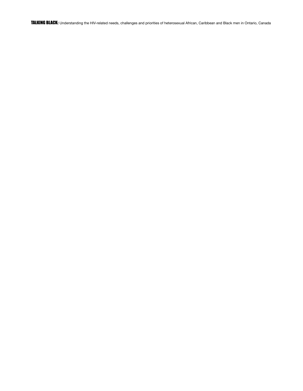TALKING BLACK: Understanding the HIV-related needs, challenges and priorities of heterosexual African, Caribbean and Black men in Ontario, Canada